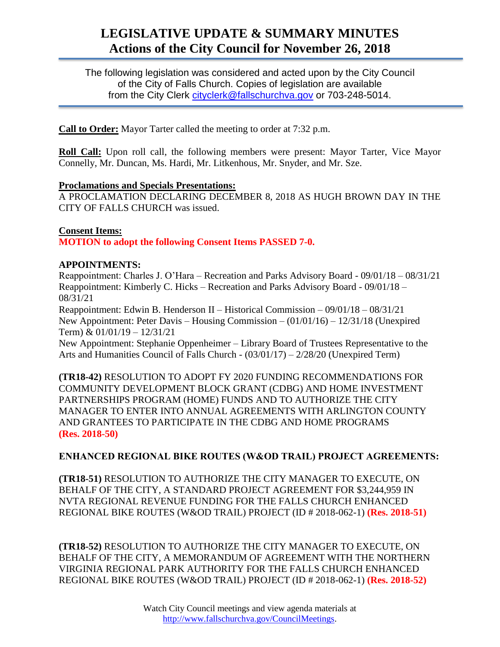# **LEGISLATIVE UPDATE & SUMMARY MINUTES Actions of the City Council for November 26, 2018**

The following legislation was considered and acted upon by the City Council of the City of Falls Church. Copies of legislation are available from the City Clerk [cityclerk@fallschurchva.gov](mailto:cityclerk@fallschurchva.gov) or 703-248-5014.

**Call to Order:** Mayor Tarter called the meeting to order at 7:32 p.m.

**Roll Call:** Upon roll call, the following members were present: Mayor Tarter, Vice Mayor Connelly, Mr. Duncan, Ms. Hardi, Mr. Litkenhous, Mr. Snyder, and Mr. Sze.

#### **Proclamations and Specials Presentations:**

A PROCLAMATION DECLARING DECEMBER 8, 2018 AS HUGH BROWN DAY IN THE CITY OF FALLS CHURCH was issued.

#### **Consent Items:**

**MOTION to adopt the following Consent Items PASSED 7-0.**

# **APPOINTMENTS:**

Reappointment: Charles J. O'Hara – Recreation and Parks Advisory Board - 09/01/18 – 08/31/21 Reappointment: Kimberly C. Hicks – Recreation and Parks Advisory Board - 09/01/18 – 08/31/21

Reappointment: Edwin B. Henderson II – Historical Commission – 09/01/18 – 08/31/21 New Appointment: Peter Davis – Housing Commission – (01/01/16) – 12/31/18 (Unexpired Term) & 01/01/19 – 12/31/21

New Appointment: Stephanie Oppenheimer – Library Board of Trustees Representative to the Arts and Humanities Council of Falls Church - (03/01/17) – 2/28/20 (Unexpired Term)

**(TR18-42)** RESOLUTION TO ADOPT FY 2020 FUNDING RECOMMENDATIONS FOR COMMUNITY DEVELOPMENT BLOCK GRANT (CDBG) AND HOME INVESTMENT PARTNERSHIPS PROGRAM (HOME) FUNDS AND TO AUTHORIZE THE CITY MANAGER TO ENTER INTO ANNUAL AGREEMENTS WITH ARLINGTON COUNTY AND GRANTEES TO PARTICIPATE IN THE CDBG AND HOME PROGRAMS **(Res. 2018-50)**

# **ENHANCED REGIONAL BIKE ROUTES (W&OD TRAIL) PROJECT AGREEMENTS:**

**(TR18-51)** RESOLUTION TO AUTHORIZE THE CITY MANAGER TO EXECUTE, ON BEHALF OF THE CITY, A STANDARD PROJECT AGREEMENT FOR \$3,244,959 IN NVTA REGIONAL REVENUE FUNDING FOR THE FALLS CHURCH ENHANCED REGIONAL BIKE ROUTES (W&OD TRAIL) PROJECT (ID # 2018-062-1) **(Res. 2018-51)**

**(TR18-52)** RESOLUTION TO AUTHORIZE THE CITY MANAGER TO EXECUTE, ON BEHALF OF THE CITY, A MEMORANDUM OF AGREEMENT WITH THE NORTHERN VIRGINIA REGIONAL PARK AUTHORITY FOR THE FALLS CHURCH ENHANCED REGIONAL BIKE ROUTES (W&OD TRAIL) PROJECT (ID # 2018-062-1) **(Res. 2018-52)**